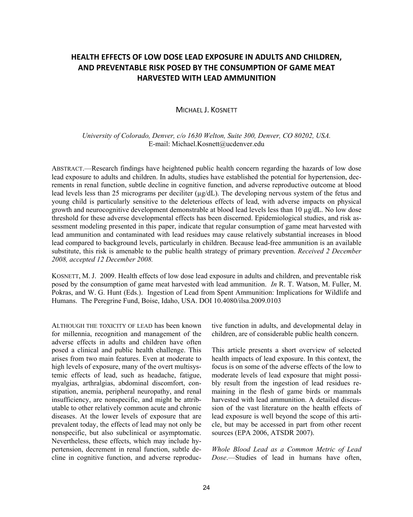# HEALTH EFFECTS OF LOW DOSE LEAD EXPOSURE IN ADULTS AND CHILDREN, **AND
PREVENTABLE
RISK
POSED
BY
THE
CONSUMPTION
OF
GAME
MEAT HARVESTED
WITH
LEAD
AMMUNITION**

# MICHAEL J. KOSNETT

# *University of Colorado, Denver, c/o 1630 Welton, Suite 300, Denver, CO 80202, USA.* E-mail: Michael.[Kosnett@ucdenver.edu](mailto:Kosnett@ucdenver.edu)

ABSTRACT.—Research findings have heightened public health concern regarding the hazards of low dose lead exposure to adults and children. In adults, studies have established the potential for hypertension, decrements in renal function, subtle decline in cognitive function, and adverse reproductive outcome at blood lead levels less than 25 micrograms per deciliter ( $\mu$ g/dL). The developing nervous system of the fetus and young child is particularly sensitive to the deleterious effects of lead, with adverse impacts on physical growth and neurocognitive development demonstrable at blood lead levels less than  $10 \mu g/dL$ . No low dose threshold for these adverse developmental effects has been discerned. Epidemiological studies, and risk assessment modeling presented in this paper, indicate that regular consumption of game meat harvested with lead ammunition and contaminated with lead residues may cause relatively substantial increases in blood lead compared to background levels, particularly in children. Because lead-free ammunition is an available substitute, this risk is amenable to the public health strategy of primary prevention. *Received 2 December 2008, accepted 12 December 2008.*

KOSNETT, M. J. 2009. Health effects of low dose lead exposure in adults and children, and preventable risk posed by the consumption of game meat harvested with lead ammunition. *In* R. T. Watson, M. Fuller, M. Pokras, and W. G. Hunt (Eds.). Ingestion of Lead from Spent Ammunition: Implications for Wildlife and Humans. The Peregrine Fund, Boise, Idaho, USA. DOI 10.4080/ilsa.2009.0103

ALTHOUGH THE TOXICITY OF LEAD has been known for millennia, recognition and management of the adverse effects in adults and children have often posed a clinical and public health challenge. This arises from two main features. Even at moderate to high levels of exposure, many of the overt multisystemic effects of lead, such as headache, fatigue, myalgias, arthralgias, abdominal discomfort, constipation, anemia, peripheral neuropathy, and renal insufficiency, are nonspecific, and might be attributable to other relatively common acute and chronic diseases. At the lower levels of exposure that are prevalent today, the effects of lead may not only be nonspecific, but also subclinical or asymptomatic. Nevertheless, these effects, which may include hypertension, decrement in renal function, subtle decline in cognitive function, and adverse reproductive function in adults, and developmental delay in children, are of considerable public health concern.

This article presents a short overview of selected health impacts of lead exposure. In this context, the focus is on some of the adverse effects of the low to moderate levels of lead exposure that might possibly result from the ingestion of lead residues remaining in the flesh of game birds or mammals harvested with lead ammunition. A detailed discussion of the vast literature on the health effects of lead exposure is well beyond the scope of this article, but may be accessed in part from other recent sources (EPA 2006, ATSDR 2007).

*Whole Blood Lead as a Common Metric of Lead Dose*.—Studies of lead in humans have often,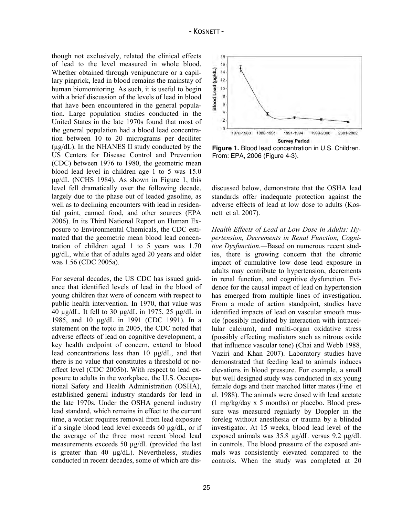though not exclusively, related the clinical effects of lead to the level measured in whole blood. Whether obtained through venipuncture or a capillary pinprick, lead in blood remains the mainstay of human biomonitoring. As such, it is useful to begin with a brief discussion of the levels of lead in blood that have been encountered in the general population. Large population studies conducted in the United States in the late 1970s found that most of the general population had a blood lead concentration between 10 to 20 micrograms per deciliter (µg/dL). In the NHANES II study conducted by the US Centers for Disease Control and Prevention (CDC) between 1976 to 1980, the geometric mean blood lead level in children age 1 to 5 was 15.0 µg/dL (NCHS 1984). As shown in Figure 1, this level fell dramatically over the following decade, largely due to the phase out of leaded gasoline, as well as to declining encounters with lead in residential paint, canned food, and other sources (EPA 2006). In its Third National Report on Human Exposure to Environmental Chemicals, the CDC estimated that the geometric mean blood lead concentration of children aged 1 to 5 years was 1.70 µg/dL, while that of adults aged 20 years and older was 1.56 (CDC 2005a).

For several decades, the US CDC has issued guidance that identified levels of lead in the blood of young children that were of concern with respect to public health intervention. In 1970, that value was 40 µg/dL. It fell to 30 µg/dL in 1975, 25 µg/dL in 1985, and 10 µg/dL in 1991 (CDC 1991). In a statement on the topic in 2005, the CDC noted that adverse effects of lead on cognitive development, a key health endpoint of concern, extend to blood lead concentrations less than 10 µg/dL, and that there is no value that constitutes a threshold or noeffect level (CDC 2005b). With respect to lead exposure to adults in the workplace, the U.S. Occupational Safety and Health Administration (OSHA), established general industry standards for lead in the late 1970s. Under the OSHA general industry lead standard, which remains in effect to the current time, a worker requires removal from lead exposure if a single blood lead level exceeds 60 µg/dL, or if the average of the three most recent blood lead measurements exceeds 50 µg/dL (provided the last is greater than 40 µg/dL). Nevertheless, studies conducted in recent decades, some of which are dis-



**Figure 1.** Blood lead concentration in U.S. Children. From: EPA, 2006 (Figure 4-3).

discussed below, demonstrate that the OSHA lead standards offer inadequate protection against the adverse effects of lead at low dose to adults (Kosnett et al. 2007).

*Health Effects of Lead at Low Dose in Adults: Hypertension, Decrements in Renal Function, Cognitive Dysfunction.—*Based on numerous recent studies, there is growing concern that the chronic impact of cumulative low dose lead exposure in adults may contribute to hypertension, decrements in renal function, and cognitive dysfunction. Evidence for the causal impact of lead on hypertension has emerged from multiple lines of investigation. From a mode of action standpoint, studies have identified impacts of lead on vascular smooth muscle (possibly mediated by interaction with intracellular calcium), and multi-organ oxidative stress (possibly effecting mediators such as nitrous oxide that influence vascular tone) (Chai and Webb 1988, Vaziri and Khan 2007). Laboratory studies have demonstrated that feeding lead to animals induces elevations in blood pressure. For example, a small but well designed study was conducted in six young female dogs and their matched litter mates (Fine et al. 1988). The animals were dosed with lead acetate (1 mg/kg/day x 5 months) or placebo. Blood pressure was measured regularly by Doppler in the foreleg without anesthesia or trauma by a blinded investigator. At 15 weeks, blood lead level of the exposed animals was 35.8 µg/dL versus 9.2 µg/dL in controls. The blood pressure of the exposed animals was consistently elevated compared to the controls. When the study was completed at 20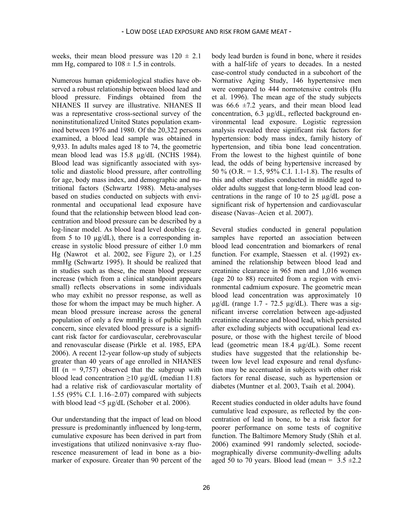weeks, their mean blood pressure was  $120 \pm 2.1$ mm Hg, compared to  $108 \pm 1.5$  in controls.

Numerous human epidemiological studies have observed a robust relationship between blood lead and blood pressure. Findings obtained from the NHANES II survey are illustrative. NHANES II was a representative cross-sectional survey of the noninstitutionalized United States population examined between 1976 and 1980. Of the 20,322 persons examined, a blood lead sample was obtained in 9,933. In adults males aged 18 to 74, the geometric mean blood lead was 15.8 µg/dL (NCHS 1984). Blood lead was significantly associated with systolic and diastolic blood pressure, after controlling for age, body mass index, and demographic and nutritional factors (Schwartz 1988). Meta-analyses based on studies conducted on subjects with environmental and occupational lead exposure have found that the relationship between blood lead concentration and blood pressure can be described by a log-linear model. As blood lead level doubles (e.g. from 5 to 10  $\mu$ g/dL), there is a corresponding increase in systolic blood pressure of either 1.0 mm Hg (Nawrot et al. 2002, see Figure 2), or 1.25 mmHg (Schwartz 1995). It should be realized that in studies such as these, the mean blood pressure increase (which from a clinical standpoint appears small) reflects observations in some individuals who may exhibit no pressor response, as well as those for whom the impact may be much higher. A mean blood pressure increase across the general population of only a few mmHg is of public health concern, since elevated blood pressure is a significant risk factor for cardiovascular, cerebrovascular and renovascular disease (Pirkle et al. 1985, EPA 2006). A recent 12-year follow-up study of subjects greater than 40 years of age enrolled in NHANES III ( $n = 9,757$ ) observed that the subgroup with blood lead concentration  $\geq 10 \mu g/dL$  (median 11.8) had a relative risk of cardiovascular mortality of 1.55 (95% C.I. 1.16–2.07) compared with subjects with blood lead <5  $\mu$ g/dL (Schober et al. 2006).

Our understanding that the impact of lead on blood pressure is predominantly influenced by long-term, cumulative exposure has been derived in part from investigations that utilized noninvasive x-ray fluorescence measurement of lead in bone as a biomarker of exposure. Greater than 90 percent of the body lead burden is found in bone, where it resides with a half-life of years to decades. In a nested case-control study conducted in a subcohort of the Normative Aging Study, 146 hypertensive men were compared to 444 normotensive controls (Hu et al. 1996). The mean age of the study subjects was  $66.6 \pm 7.2$  years, and their mean blood lead concentration, 6.3 µg/dL, reflected background environmental lead exposure. Logistic regression analysis revealed three significant risk factors for hypertension: body mass index, family history of hypertension, and tibia bone lead concentration. From the lowest to the highest quintile of bone lead, the odds of being hypertensive increased by 50 % (O.R. = 1.5, 95% C.I. 1.1-1.8). The results of this and other studies conducted in middle aged to older adults suggest that long-term blood lead concentrations in the range of 10 to 25 µg/dL pose a significant risk of hypertension and cardiovascular disease (Navas–Acien et al. 2007).

Several studies conducted in general population samples have reported an association between blood lead concentration and biomarkers of renal function. For example, Staessen et al. (1992) examined the relationship between blood lead and creatinine clearance in 965 men and 1,016 women (age 20 to 88) recruited from a region with environmental cadmium exposure. The geometric mean blood lead concentration was approximately 10  $\mu$ g/dL (range 1.7 - 72.5  $\mu$ g/dL). There was a significant inverse correlation between age-adjusted creatinine clearance and blood lead, which persisted after excluding subjects with occupational lead exposure, or those with the highest tercile of blood lead (geometric mean 18.4 µg/dL). Some recent studies have suggested that the relationship between low level lead exposure and renal dysfunction may be accentuated in subjects with other risk factors for renal disease, such as hypertension or diabetes (Muntner et al. 2003, Tsaih et al. 2004).

Recent studies conducted in older adults have found cumulative lead exposure, as reflected by the concentration of lead in bone, to be a risk factor for poorer performance on some tests of cognitive function. The Baltimore Memory Study (Shih et al. 2006) examined 991 randomly selected, sociodemographically diverse community-dwelling adults aged 50 to 70 years. Blood lead (mean =  $3.5 \pm 2.2$ )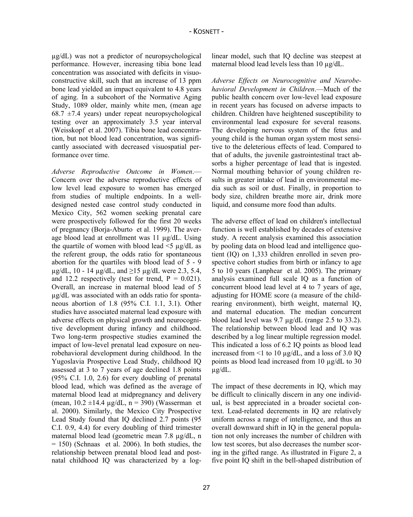µg/dL) was not a predictor of neuropsychological performance. However, increasing tibia bone lead concentration was associated with deficits in visuoconstructive skill, such that an increase of 13 ppm bone lead yielded an impact equivalent to 4.8 years of aging. In a subcohort of the Normative Aging Study, 1089 older, mainly white men, (mean age  $68.7 \pm 7.4$  years) under repeat neuropsychological testing over an approximately 3.5 year interval (Weisskopf et al. 2007). Tibia bone lead concentration, but not blood lead concentration, was significantly associated with decreased visuospatial performance over time.

*Adverse Reproductive Outcome in Women*.— Concern over the adverse reproductive effects of low level lead exposure to women has emerged from studies of multiple endpoints. In a welldesigned nested case control study conducted in Mexico City, 562 women seeking prenatal care were prospectively followed for the first 20 weeks of pregnancy (Borja-Aburto et al. 1999). The average blood lead at enrollment was 11 µg/dL. Using the quartile of women with blood lead  $\leq$   $\mu$ g/dL as the referent group, the odds ratio for spontaneous abortion for the quartiles with blood lead of 5 - 9  $\mu$ g/dL, 10 - 14  $\mu$ g/dL, and  $\geq$ 15  $\mu$ g/dL were 2.3, 5.4, and 12.2 respectively (test for trend,  $P = 0.021$ ). Overall, an increase in maternal blood lead of 5 µg/dL was associated with an odds ratio for spontaneous abortion of 1.8 (95% C.I. 1.1, 3.1). Other studies have associated maternal lead exposure with adverse effects on physical growth and neurocognitive development during infancy and childhood. Two long-term prospective studies examined the impact of low-level prenatal lead exposure on neurobehavioral development during childhood. In the Yugoslavia Prospective Lead Study, childhood IQ assessed at 3 to 7 years of age declined 1.8 points (95% C.I. 1.0, 2.6) for every doubling of prenatal blood lead, which was defined as the average of maternal blood lead at midpregnancy and delivery (mean,  $10.2 \pm 14.4$  µg/dL, n = 390) (Wasserman et al. 2000). Similarly, the Mexico City Prospective Lead Study found that IQ declined 2.7 points (95 C.I. 0.9, 4.4) for every doubling of third trimester maternal blood lead (geometric mean 7.8 µg/dL, n  $= 150$ ) (Schnaas et al. 2006). In both studies, the relationship between prenatal blood lead and postnatal childhood IQ was characterized by a loglinear model, such that IQ decline was steepest at maternal blood lead levels less than 10  $\mu$ g/dL.

*Adverse Effects on Neurocognitive and Neurobehavioral Development in Children*.—Much of the public health concern over low-level lead exposure in recent years has focused on adverse impacts to children. Children have heightened susceptibility to environmental lead exposure for several reasons. The developing nervous system of the fetus and young child is the human organ system most sensitive to the deleterious effects of lead. Compared to that of adults, the juvenile gastrointestinal tract absorbs a higher percentage of lead that is ingested. Normal mouthing behavior of young children results in greater intake of lead in environmental media such as soil or dust. Finally, in proportion to body size, children breathe more air, drink more liquid, and consume more food than adults.

The adverse effect of lead on children's intellectual function is well established by decades of extensive study. A recent analysis examined this association by pooling data on blood lead and intelligence quotient (IQ) on 1,333 children enrolled in seven prospective cohort studies from birth or infancy to age 5 to 10 years (Lanphear et al. 2005). The primary analysis examined full scale IQ as a function of concurrent blood lead level at 4 to 7 years of age, adjusting for HOME score (a measure of the childrearing environment), birth weight, maternal IQ, and maternal education. The median concurrent blood lead level was 9.7 µg/dL (range 2.5 to 33.2). The relationship between blood lead and IQ was described by a log linear multiple regression model. This indicated a loss of 6.2 IQ points as blood lead increased from  $\leq 1$  to 10  $\mu$ g/dL, and a loss of 3.0 IQ points as blood lead increased from 10 µg/dL to 30 µg/dL.

The impact of these decrements in IQ, which may be difficult to clinically discern in any one individual, is best appreciated in a broader societal context. Lead-related decrements in IQ are relatively uniform across a range of intelligence, and thus an overall downward shift in IQ in the general population not only increases the number of children with low test scores, but also decreases the number scoring in the gifted range. As illustrated in Figure 2, a five point IQ shift in the bell-shaped distribution of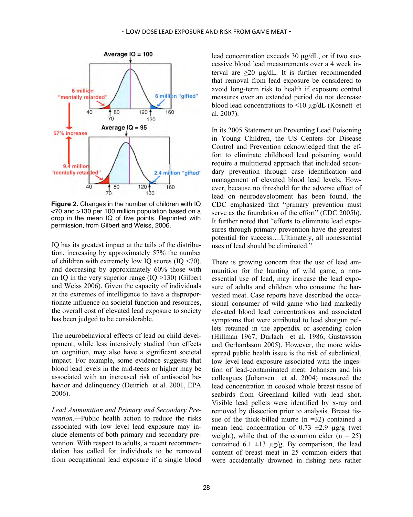

**Figure 2.** Changes in the number of children with IQ <70 and >130 per 100 million population based on a drop in the mean IQ of five points. Reprinted with permission, from Gilbert and Weiss, 2006.

IQ has its greatest impact at the tails of the distribution, increasing by approximately 57% the number of children with extremely low IQ scores (IQ <70), and decreasing by approximately 60% those with an IQ in the very superior range  $(IQ > 130)$  (Gilbert and Weiss 2006). Given the capacity of individuals at the extremes of intelligence to have a disproportionate influence on societal function and resources, the overall cost of elevated lead exposure to society has been judged to be considerable.

The neurobehavioral effects of lead on child development, while less intensively studied than effects on cognition, may also have a significant societal impact. For example, some evidence suggests that blood lead levels in the mid-teens or higher may be associated with an increased risk of antisocial behavior and delinquency (Deitrich et al. 2001, EPA 2006).

*Lead Ammunition and Primary and Secondary Prevention*.*—*Public health action to reduce the risks associated with low level lead exposure may include elements of both primary and secondary prevention. With respect to adults, a recent recommendation has called for individuals to be removed from occupational lead exposure if a single blood

lead concentration exceeds 30 µg/dL, or if two successive blood lead measurements over a 4 week interval are  $\geq 20$  µg/dL. It is further recommended that removal from lead exposure be considered to avoid long-term risk to health if exposure control measures over an extended period do not decrease blood lead concentrations to  $\leq 10 \mu g/dL$  (Kosnett et al. 2007).

In its 2005 Statement on Preventing Lead Poisoning in Young Children, the US Centers for Disease Control and Prevention acknowledged that the effort to eliminate childhood lead poisoning would require a multitiered approach that included secondary prevention through case identification and management of elevated blood lead levels. However, because no threshold for the adverse effect of lead on neurodevelopment has been found, the CDC emphasized that "primary prevention must serve as the foundation of the effort" (CDC 2005b). It further noted that "efforts to eliminate lead exposures through primary prevention have the greatest potential for success….Ultimately, all nonessential uses of lead should be eliminated."

There is growing concern that the use of lead ammunition for the hunting of wild game, a nonessential use of lead, may increase the lead exposure of adults and children who consume the harvested meat. Case reports have described the occasional consumer of wild game who had markedly elevated blood lead concentrations and associated symptoms that were attributed to lead shotgun pellets retained in the appendix or ascending colon (Hillman 1967, Durlach et al. 1986, Gustavsson and Gerhardsson 2005). However, the more widespread public health issue is the risk of subclinical, low level lead exposure associated with the ingestion of lead-contaminated meat. Johansen and his colleagues (Johansen et al. 2004) measured the lead concentration in cooked whole breast tissue of seabirds from Greenland killed with lead shot. Visible lead pellets were identified by x-ray and removed by dissection prior to analysis. Breast tissue of the thick-billed murre  $(n = 32)$  contained a mean lead concentration of  $0.73 \pm 2.9$  µg/g (wet weight), while that of the common eider  $(n = 25)$ contained 6.1  $\pm$ 13 µg/g. By comparison, the lead content of breast meat in 25 common eiders that were accidentally drowned in fishing nets rather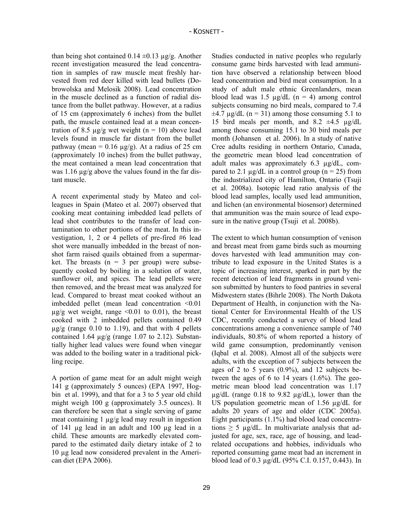than being shot contained  $0.14 \pm 0.13$  ug/g. Another recent investigation measured the lead concentration in samples of raw muscle meat freshly harvested from red deer killed with lead bullets (Dobrowolska and Melosik 2008). Lead concentration in the muscle declined as a function of radial distance from the bullet pathway. However, at a radius of 15 cm (approximately 6 inches) from the bullet path, the muscle contained lead at a mean concentration of 8.5  $\mu$ g/g wet weight (n = 10) above lead levels found in muscle far distant from the bullet pathway (mean =  $0.16 \mu g/g$ ). At a radius of 25 cm (approximately 10 inches) from the bullet pathway, the meat contained a mean lead concentration that was  $1.16 \mu g/g$  above the values found in the far distant muscle.

A recent experimental study by Mateo and colleagues in Spain (Mateo et al. 2007) observed that cooking meat containing imbedded lead pellets of lead shot contributes to the transfer of lead contamination to other portions of the meat. In this investigation, 1, 2 or 4 pellets of pre-fired #6 lead shot were manually imbedded in the breast of nonshot farm raised quails obtained from a supermarket. The breasts ( $n = 3$  per group) were subsequently cooked by boiling in a solution of water, sunflower oil, and spices. The lead pellets were then removed, and the breast meat was analyzed for lead. Compared to breast meat cooked without an imbedded pellet (mean lead concentration <0.01  $\mu$ g/g wet weight, range <0.01 to 0.01), the breast cooked with 2 imbedded pellets contained 0.49  $\mu$ g/g (range 0.10 to 1.19), and that with 4 pellets contained 1.64  $\mu$ g/g (range 1.07 to 2.12). Substantially higher lead values were found when vinegar was added to the boiling water in a traditional pickling recipe.

A portion of game meat for an adult might weigh 141 g (approximately 5 ounces) (EPA 1997, Hogbin et al. 1999), and that for a 3 to 5 year old child might weigh 100 g (approximately 3.5 ounces). It can therefore be seen that a single serving of game meat containing 1 µg/g lead may result in ingestion of 141 µg lead in an adult and 100 µg lead in a child. These amounts are markedly elevated compared to the estimated daily dietary intake of 2 to 10 µg lead now considered prevalent in the American diet (EPA 2006).

Studies conducted in native peoples who regularly consume game birds harvested with lead ammunition have observed a relationship between blood lead concentration and bird meat consumption. In a study of adult male ethnic Greenlanders, mean blood lead was 1.5  $\mu$ g/dL (n = 4) among control subjects consuming no bird meals, compared to 7.4  $\pm 4.7$  µg/dL (n = 31) among those consuming 5.1 to 15 bird meals per month, and  $8.2 \pm 4.5$   $\mu$ g/dL among those consuming 15.1 to 30 bird meals per month (Johansen et al. 2006). In a study of native Cree adults residing in northern Ontario, Canada, the geometric mean blood lead concentration of adult males was approximately 6.3 µg/dL, compared to 2.1  $\mu$ g/dL in a control group (n = 25) from the industrialized city of Hamilton, Ontario (Tsuji et al. 2008a). Isotopic lead ratio analysis of the blood lead samples, locally used lead ammunition, and lichen (an environmental biosensor) determined that ammunition was the main source of lead exposure in the native group (Tsuji et al. 2008b).

The extent to which human consumption of venison and breast meat from game birds such as mourning doves harvested with lead ammunition may contribute to lead exposure in the United States is a topic of increasing interest, sparked in part by the recent detection of lead fragments in ground venison submitted by hunters to food pantries in several Midwestern states (Bihrle 2008). The North Dakota Department of Health, in conjunction with the National Center for Environmental Health of the US CDC, recently conducted a survey of blood lead concentrations among a convenience sample of 740 individuals, 80.8% of whom reported a history of wild game consumption, predominantly venison (Iqbal et al. 2008). Almost all of the subjects were adults, with the exception of 7 subjects between the ages of 2 to 5 years  $(0.9\%)$ , and 12 subjects between the ages of 6 to 14 years (1.6%). The geometric mean blood lead concentration was 1.17  $\mu$ g/dL (range 0.18 to 9.82  $\mu$ g/dL), lower than the US population geometric mean of 1.56 µg/dL for adults 20 years of age and older (CDC 2005a). Eight participants (1.1%) had blood lead concentrations  $\geq$  5 µg/dL. In multivariate analysis that adjusted for age, sex, race, age of housing, and leadrelated occupations and hobbies, individuals who reported consuming game meat had an increment in blood lead of 0.3 µg/dL (95% C.I. 0.157, 0.443). In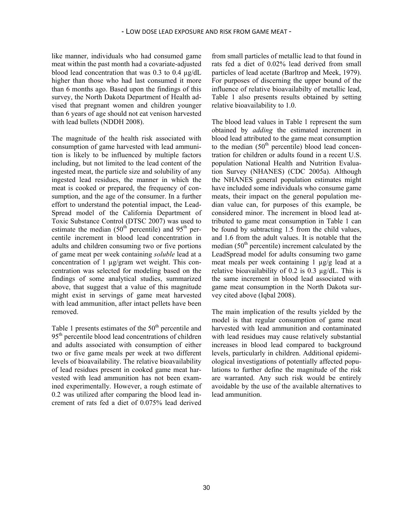like manner, individuals who had consumed game meat within the past month had a covariate-adjusted blood lead concentration that was 0.3 to 0.4 µg/dL higher than those who had last consumed it more than 6 months ago. Based upon the findings of this survey, the North Dakota Department of Health advised that pregnant women and children younger than 6 years of age should not eat venison harvested with lead bullets (NDDH 2008).

The magnitude of the health risk associated with consumption of game harvested with lead ammunition is likely to be influenced by multiple factors including, but not limited to the lead content of the ingested meat, the particle size and solubility of any ingested lead residues, the manner in which the meat is cooked or prepared, the frequency of consumption, and the age of the consumer. In a further effort to understand the potential impact, the Lead-Spread model of the California Department of Toxic Substance Control (DTSC 2007) was used to estimate the median  $(50<sup>th</sup>$  percentile) and  $95<sup>th</sup>$  percentile increment in blood lead concentration in adults and children consuming two or five portions of game meat per week containing *soluble* lead at a concentration of 1 µg/gram wet weight. This concentration was selected for modeling based on the findings of some analytical studies, summarized above, that suggest that a value of this magnitude might exist in servings of game meat harvested with lead ammunition, after intact pellets have been removed.

Table 1 presents estimates of the  $50<sup>th</sup>$  percentile and 95<sup>th</sup> percentile blood lead concentrations of children and adults associated with consumption of either two or five game meals per week at two different levels of bioavailability. The relative bioavailability of lead residues present in cooked game meat harvested with lead ammunition has not been examined experimentally. However, a rough estimate of 0.2 was utilized after comparing the blood lead increment of rats fed a diet of 0.075% lead derived

from small particles of metallic lead to that found in rats fed a diet of 0.02% lead derived from small particles of lead acetate (Barltrop and Meek, 1979). For purposes of discerning the upper bound of the influence of relative bioavailabilty of metallic lead, Table 1 also presents results obtained by setting relative bioavailability to 1.0.

The blood lead values in Table 1 represent the sum obtained by *adding* the estimated increment in blood lead attributed to the game meat consumption to the median  $(50<sup>th</sup>$  percentile) blood lead concentration for children or adults found in a recent U.S. population National Health and Nutrition Evaluation Survey (NHANES) (CDC 2005a). Although the NHANES general population estimates might have included some individuals who consume game meats, their impact on the general population median value can, for purposes of this example, be considered minor. The increment in blood lead attributed to game meat consumption in Table 1 can be found by subtracting 1.5 from the child values, and 1.6 from the adult values. It is notable that the median  $(50<sup>th</sup>$  percentile) increment calculated by the LeadSpread model for adults consuming two game meat meals per week containing 1 µg/g lead at a relative bioavailability of 0.2 is 0.3 µg/dL. This is the same increment in blood lead associated with game meat consumption in the North Dakota survey cited above (Iqbal 2008).

The main implication of the results yielded by the model is that regular consumption of game meat harvested with lead ammunition and contaminated with lead residues may cause relatively substantial increases in blood lead compared to background levels, particularly in children. Additional epidemiological investigations of potentially affected populations to further define the magnitude of the risk are warranted. Any such risk would be entirely avoidable by the use of the available alternatives to lead ammunition.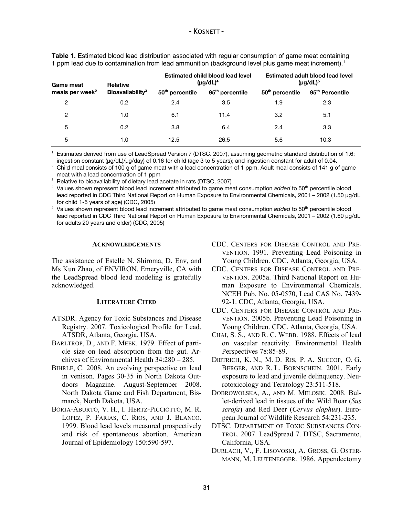### ‐ KOSNETT ‐

| <b>Game meat</b><br>meals per week $2$ | <b>Relative</b><br>Bioavailability <sup>3</sup> | <b>Estimated child blood lead level</b><br>$(\mu g/dL)^4$ |                             | Estimated adult blood lead level<br>$(\mu g/dL)^5$ |                             |
|----------------------------------------|-------------------------------------------------|-----------------------------------------------------------|-----------------------------|----------------------------------------------------|-----------------------------|
|                                        |                                                 | 50 <sup>th</sup> percentile                               | 95 <sup>th</sup> percentile | 50 <sup>th</sup> percentile                        | 95 <sup>th</sup> Percentile |
| $\overline{2}$                         | 0.2                                             | 2.4                                                       | 3.5                         | 1.9                                                | 2.3                         |
| 2                                      | 1.0                                             | 6.1                                                       | 11.4                        | 3.2                                                | 5.1                         |
| 5                                      | 0.2                                             | 3.8                                                       | 6.4                         | 2.4                                                | 3.3                         |
| 5                                      | 1.0                                             | 12.5                                                      | 26.5                        | 5.6                                                | 10.3                        |

**Table 1.** Estimated blood lead distribution associated with regular consumption of game meat containing 1 ppm lead due to contamination from lead ammunition (background level plus game meat increment).1

<sup>1</sup> Estimates derived from use of LeadSpread Version 7 (DTSC. 2007), assuming geometric standard distribution of 1.6; ingestion constant (µg/dL)/µg/day) of 0.16 for child (age 3 to 5 years); and ingestion constant for adult of 0.04.

 $2^2$  Child meal consists of 100 g of game meat with a lead concentration of 1 ppm. Adult meal consists of 141 g of game meat with a lead concentration of 1 ppm

 $3$  Relative to bioavailability of dietary lead acetate in rats (DTSC, 2007)

<sup>4</sup> Values shown represent blood lead increment attributed to game meat consumption *added* to 50<sup>th</sup> percentile blood lead reported in CDC Third National Report on Human Exposure to Environmental Chemicals, 2001 – 2002 (1.50 µg/dL for child 1-5 years of age) (CDC, 2005)

<sup>5</sup> Values shown represent blood lead increment attributed to game meat consumption *added* to 50<sup>th</sup> percentile blood lead reported in CDC Third National Report on Human Exposure to Environmental Chemicals, 2001 – 2002 (1.60 µg/dL for adults 20 years and older) (CDC, 2005)

#### **ACKNOWLEDGEMENTS**

The assistance of Estelle N. Shiroma, D. Env, and Ms Kun Zhao, of ENVIRON, Emeryville, CA with the LeadSpread blood lead modeling is gratefully acknowledged.

#### **LITERATURE CITED**

- ATSDR. Agency for Toxic Substances and Disease Registry. 2007. Toxicological Profile for Lead. ATSDR, Atlanta, Georgia, USA.
- BARLTROP, D., AND F. MEEK. 1979. Effect of particle size on lead absorption from the gut. Archives of Environmental Health 34:280 – 285.
- BIHRLE, C. 2008. An evolving perspective on lead in venison. Pages 30-35 in North Dakota Outdoors Magazine. August-September 2008. North Dakota Game and Fish Department, Bismarck, North Dakota, USA.
- BORJA-ABURTO, V. H., I. HERTZ-PICCIOTTO, M. R. LOPEZ, P. FARIAS, C. RIOS, AND J. BLANCO. 1999. Blood lead levels measured prospectively and risk of spontaneous abortion. American Journal of Epidemiology 150:590-597.
- CDC. CENTERS FOR DISEASE CONTROL AND PRE-VENTION. 1991. Preventing Lead Poisoning in Young Children. CDC, Atlanta, Georgia, USA.
- CDC. CENTERS FOR DISEASE CONTROL AND PRE-VENTION. 2005a. Third National Report on Human Exposure to Environmental Chemicals. NCEH Pub. No. 05-0570, Lead CAS No. 7439- 92-1. CDC, Atlanta, Georgia, USA.
- CDC. CENTERS FOR DISEASE CONTROL AND PRE-VENTION. 2005b. Preventing Lead Poisoning in Young Children. CDC, Atlanta, Georgia, USA.
- CHAI, S. S., AND R. C. WEBB. 1988. Effects of lead [on vascular reactivity. Environmental Health](http://dx.doi.org/10.2307/3430506) Perspectives 78:85-89.
- DIETRICH, K. N., M. D. RIS, P. A. SUCCOP, O. G. BERGER, AND R. L. BORNSCHEIN. 2001. Early [exposure to lead and juvenile delinquency. Neu](http://dx.doi.org/10.1016/S0892-0362(01)00184-2)rotoxicology and Teratology 23:511-518.
- DOBROWOLSKA, A., AND M. MELOSIK. 2008. Bullet-derived lead in tissues of the Wild Boar (*Sus scrofa*) and Red Deer (*Cervus elaphus*). Euro[pean Journal of Wildlife Research 54:231-235.](http://dx.doi.org/10.1007/s10344-007-0134-y)
- DTSC. DEPARTMENT OF TOXIC SUBSTANCES CON-TROL. 2007. LeadSpread 7. DTSC, Sacramento, California, USA.
- DURLACH, V., F. LISOVOSKI, A. GROSS, G. OSTER-MANN, M. [LEUTENEGGER. 1986. Appendectomy](http://dx.doi.org/10.1016/S0140-6736(86)91769-1)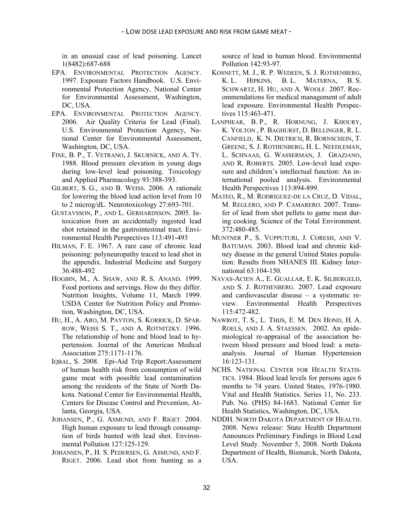[in an unusual case of lead poisoning. Lancet](http://dx.doi.org/10.1016/S0140-6736(86)91769-1)  1(8482):687-688

- EPA. ENVIRONMENTAL PROTECTION AGENCY. 1997. Exposure Factors Handbook. U.S. Environmental Protection Agency, National Center for Environmental Assessment, Washington, DC, USA.
- EPA. ENVIRONMENTAL PROTECTION AGENCY. 2006. Air Quality Criteria for Lead (Final). U.S. Environmental Protection Agency, National Center for Environmental Assessment, Washington, DC, USA.
- FINE, B. P., T. VETRANO, J. SKURNICK, AND A. TY. [1988. Blood pressure elevation in young dogs](http://dx.doi.org/10.1016/0041-008X(88)90041-5)  during low-level lead poisoning. Toxicology and Applied Pharmacology 93:388-393.
- GILBERT, S. G., AND B. WEISS. 2006. A rationale [for lowering the blood lead action level from 10](http://dx.doi.org/10.1016/j.neuro.2006.06.008)  to 2 microg/dL. Neurotoxicology 27:693-701.
- GUSTAVSSON, P., AND L. GERHARDSSON. 2005. In[toxication from an accidentally ingested lead](http://dx.doi.org/10.1289/ehp.7594)  shot retained in the gastrointestinal tract. Environmental Health Perspectives 113:491-493
- HILMAN, F. E. 1967. A rare case of chronic lead poisoning: polyneuropathy traced to lead shot in the appendix. Industrial Medicine and Surgery 36:488-492
- HOGBIN, M., A. SHAW, AND R. S. ANAND. 1999. Food portions and servings. How do they differ. Nutrition Insights, Volume 11, March 1999. USDA Center for Nutrition Policy and Promotion, Washington, DC, USA.
- HU, H., A. ARO, M. PAYTON, S. KORRICK, D. SPAR-ROW, WEISS S. T., AND A. ROTNITZKY. 1996. The relationship of bone and blood lead to hypertension. Journal of the American Medical Association 275:1171-1176.
- IQBAL, S. 2008. Epi-Aid Trip Report:Assessment of human health risk from consumption of wild game meat with possible lead contamination among the residents of the State of North Dakota. National Center for Environmental Health, Centers for Disease Control and Prevention, Atlanta, Georgia, USA.
- JOHANSEN, P., G. ASMUND, AND F. RIGET. 2004. High human exposure to lead through consump[tion of birds hunted with lead shot. Environ](http://dx.doi.org/10.1016/S0269-7491(03)00255-0)mental Pollution 127:125-129.
- JOHANSEN, P., H. S. PEDERSEN, G. ASMUND, AND F. [RIGET. 2006. Lead shot from hunting as a](http://dx.doi.org/10.1016/j.envpol.2005.09.015)

[source of lead in human blood. Environmental](http://dx.doi.org/10.1016/j.envpol.2005.09.015) Pollution 142:93-97.

- KOSNETT, M. J., R. P. WEDEEN, S. J. ROTHENBERG, K. L. HIPKINS, B. L. MATERNA, B. S. SCHWARTZ, H. HU, AND A. WOOLF. 2007. Rec[ommendations for medical management of adult](http://dx.doi.org/10.1289/ehp.9784)  lead exposure. Environmental Health Perspectives 115:463-471.
- LANPHEAR, B. P., R. HORNUNG, J. KHOURY, K. YOLTON , P. BAGHURST, D. BELLINGER, R. L. CANFIELD, K. N. DIETRICH, R. BORNSCHEIN, T. GREENE, S. J. ROTHENBERG, H. L. NEEDLEMAN, L. SCHNAAS, G. WASSERMAN, J. GRAZIANO, AND R. ROBERTS. 2005. Low-level lead expo[sure and children's intellectual function: An in](http://dx.doi.org/10.1289/ehp.7688)ternational pooled analysis. Environmental Health Perspectives 113:894-899.
- MATEO, R., M. RODRIGUEZ-DE LA CRUZ, D. VIDAL, M. REGLERO, AND P. CAMARERO. 2007. Transfer of lead from shot pellets to game meat dur[ing cooking. Science of the Total Environment.](http://dx.doi.org/10.1016/j.scitotenv.2006.10.022) 372:480-485.
- MUNTNER P., S. VUPPUTURI, J. CORESH, AND V. BATUMAN. 2003. Blood lead and chronic kid[ney disease in the general United States popula](http://dx.doi.org/10.1046/j.1523-1755.2003.00812.x)tion: Results from NHANES III. Kidney International 63:104-150.
- NAVAS-ACIEN A., E. GUALLAR, E. K. SILBERGELD, AND S. J. ROTHENBERG. 2007. Lead exposure and cardiovascular disease – a systematic re[view. Environmental Health Perspectives](http://dx.doi.org/10.1289/ehp.9785) 115:472-482.
- NAWROT, T. S., L. THIJS, E. M. DEN HOND, H. A. ROELS, AND J. A. STAESSEN. 2002. An epide[miological re-appraisal of the association be](http://dx.doi.org/10.1038/sj.jhh.1001300)tween blood pressure and blood lead: a metaanalysis. Journal of Human Hypertension 16:123-131.
- NCHS. NATIONAL CENTER FOR HEALTH STATIS-TICS. 1984. Blood lead levels for persons ages 6 months to 74 years. United States, 1976-1980. Vital and Health Statistics. Series 11, No. 233. Pub. No. (PHS) 84-1683. National Center for Health Statistics, Washington, DC, USA.
- NDDH. NORTH DAKOTA DEPARTMENT OF HEALTH. 2008. News release: State Health Department Announces Preliminary Findings in Blood Lead Level Study. November 5, 2008. North Dakota Department of Health, Bismarck, North Dakota, USA.